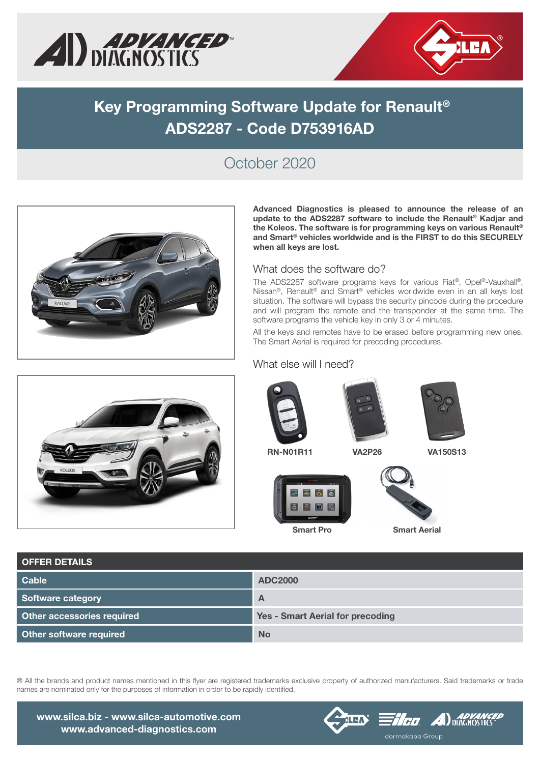



# **Key Programming Software Update for Renault® ADS2287 - Code D753916AD**

### October 2020



**Advanced Diagnostics is pleased to announce the release of an update to the ADS2287 software to include the Renault® Kadjar and the Koleos. The software is for programming keys on various Renault® and Smart® vehicles worldwide and is the FIRST to do this SECURELY when all keys are lost.** 

#### What does the software do?

The ADS2287 software programs keys for various Fiat®, Opel®-Vauxhall®, Nissan®, Renault® and Smart® vehicles worldwide even in an all keys lost situation. The software will bypass the security pincode during the procedure and will program the remote and the transponder at the same time. The software programs the vehicle key in only 3 or 4 minutes.

All the keys and remotes have to be erased before programming new ones. The Smart Aerial is required for precoding procedures.



#### What else will I need?









**Smart Pro Smart Aerial**

| <b>OFFER DETAILS</b>              |                                         |
|-----------------------------------|-----------------------------------------|
| <b>Cable</b>                      | <b>ADC2000</b>                          |
| <b>Software category</b>          | $\mathsf{A}$                            |
| <b>Other accessories required</b> | <b>Yes - Smart Aerial for precoding</b> |
| Other software required           | <b>No</b>                               |

® All the brands and product names mentioned in this flyer are registered trademarks exclusive property of authorized manufacturers. Said trademarks or trade names are nominated only for the purposes of information in order to be rapidly identified.